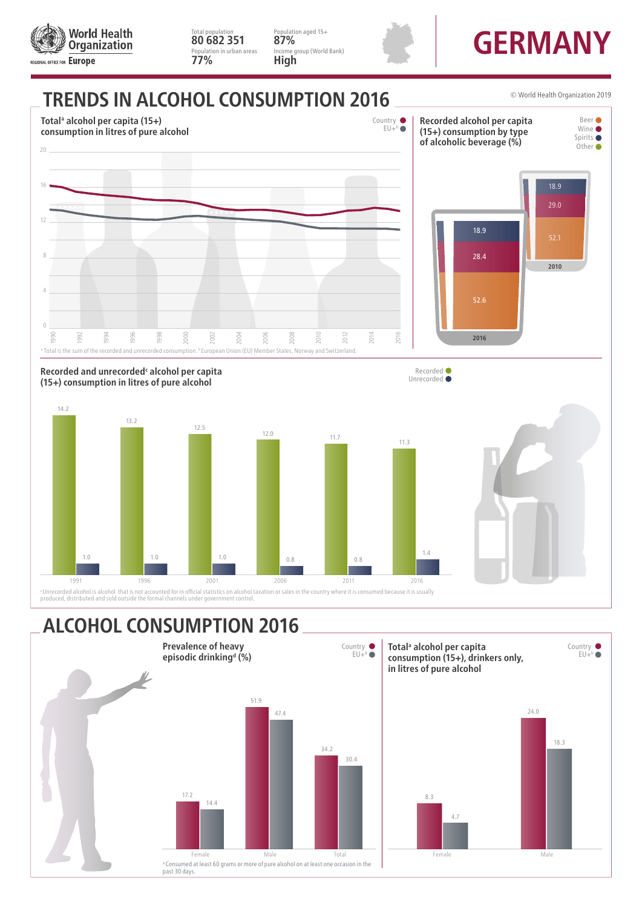

Unrecorded alcohol is alcohol that is not accounted for in official statistics on alcohol taxation or sales in the country where it is consumed because it is usually<br>produced, distributed and sold outside the formal channe

## **ALCOHOL CONSUMPTION 2016**

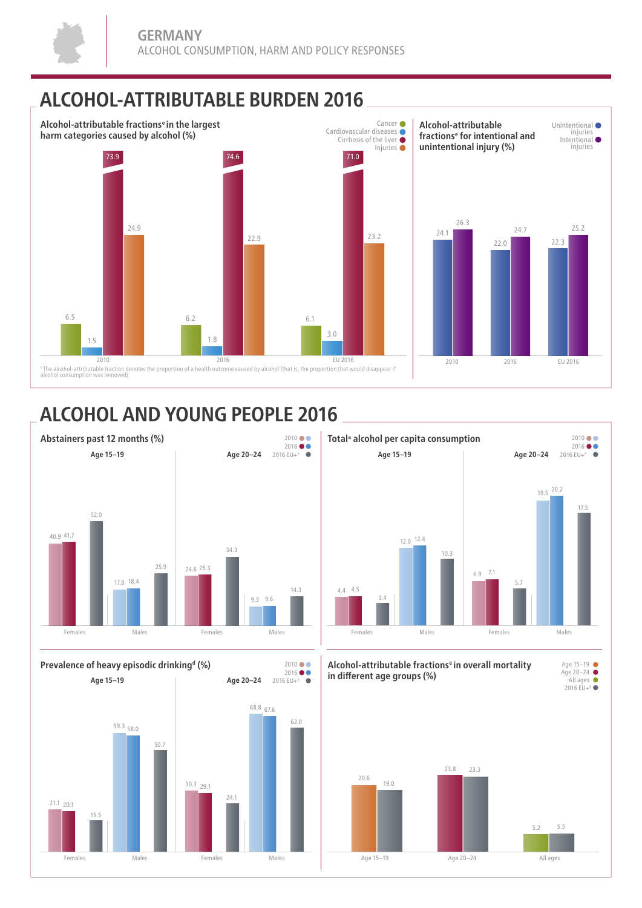## **ALCOHOL-ATTRIBUTABLE BURDEN 2016**



 $2010 \bullet \bullet$ 

## **ALCOHOL AND YOUNG PEOPLE 2016**



**Prevalence of heavy episodic drinkingd (%)**





**Alcohol-attributable fractionse in overall mortality in di erent age groups (%)**